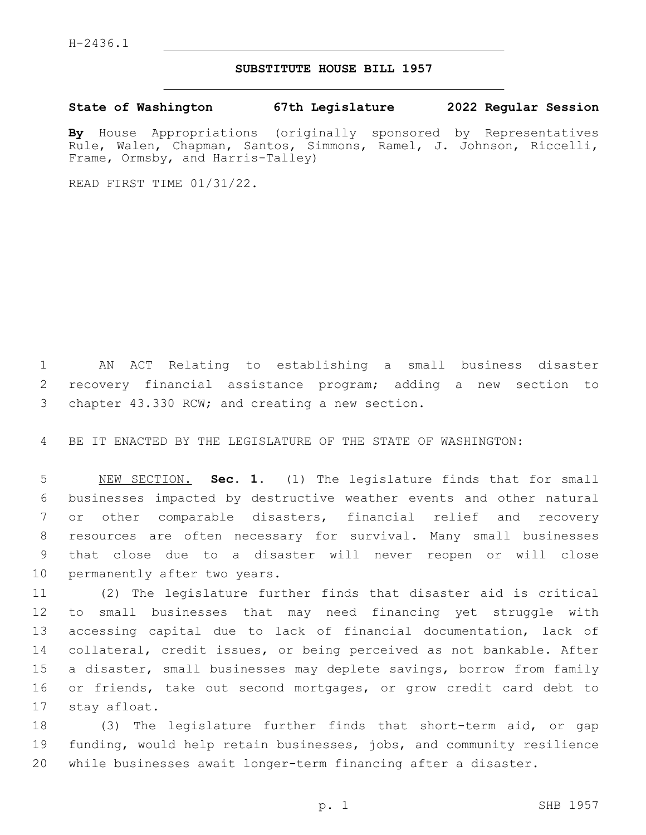## **SUBSTITUTE HOUSE BILL 1957**

**State of Washington 67th Legislature 2022 Regular Session**

**By** House Appropriations (originally sponsored by Representatives Rule, Walen, Chapman, Santos, Simmons, Ramel, J. Johnson, Riccelli, Frame, Ormsby, and Harris-Talley)

READ FIRST TIME 01/31/22.

 AN ACT Relating to establishing a small business disaster recovery financial assistance program; adding a new section to 3 chapter 43.330 RCW; and creating a new section.

BE IT ENACTED BY THE LEGISLATURE OF THE STATE OF WASHINGTON:

 NEW SECTION. **Sec. 1.** (1) The legislature finds that for small businesses impacted by destructive weather events and other natural or other comparable disasters, financial relief and recovery resources are often necessary for survival. Many small businesses that close due to a disaster will never reopen or will close permanently after two years.

 (2) The legislature further finds that disaster aid is critical to small businesses that may need financing yet struggle with accessing capital due to lack of financial documentation, lack of collateral, credit issues, or being perceived as not bankable. After a disaster, small businesses may deplete savings, borrow from family or friends, take out second mortgages, or grow credit card debt to 17 stay afloat.

 (3) The legislature further finds that short-term aid, or gap funding, would help retain businesses, jobs, and community resilience while businesses await longer-term financing after a disaster.